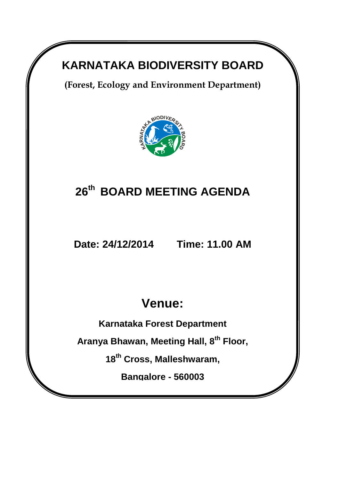## **KARNATAKA BIODIVERSITY BOARD**

**(Forest, Ecology and Environment Department)** 



# **26 th BOARD MEETING AGENDA**

**Date: 24/12/2014 Time: 11.00 AM**

# **Venue:**

**Karnataka Forest Department**

**Aranya Bhawan, Meeting Hall, 8th Floor,** 

**18th Cross, Malleshwaram,**

**Bangalore - 560003**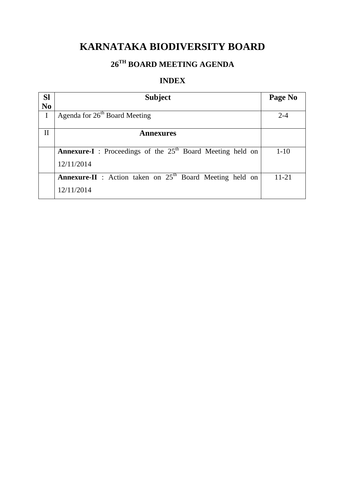### **KARNATAKA BIODIVERSITY BOARD**

### **26 TH BOARD MEETING AGENDA**

### **INDEX**

| <b>Sl</b>      | <b>Subject</b>                                                      | Page No   |
|----------------|---------------------------------------------------------------------|-----------|
| N <sub>0</sub> |                                                                     |           |
| I              | Agenda for $26th$ Board Meeting                                     | $2 - 4$   |
|                |                                                                     |           |
| $\mathbf{I}$   | <b>Annexures</b>                                                    |           |
|                |                                                                     |           |
|                | <b>Annexure-I</b> : Proceedings of the $25th$ Board Meeting held on | $1 - 10$  |
|                | 12/11/2014                                                          |           |
|                | <b>Annexure-II</b> : Action taken on $25th$ Board Meeting held on   | $11 - 21$ |
|                | 12/11/2014                                                          |           |